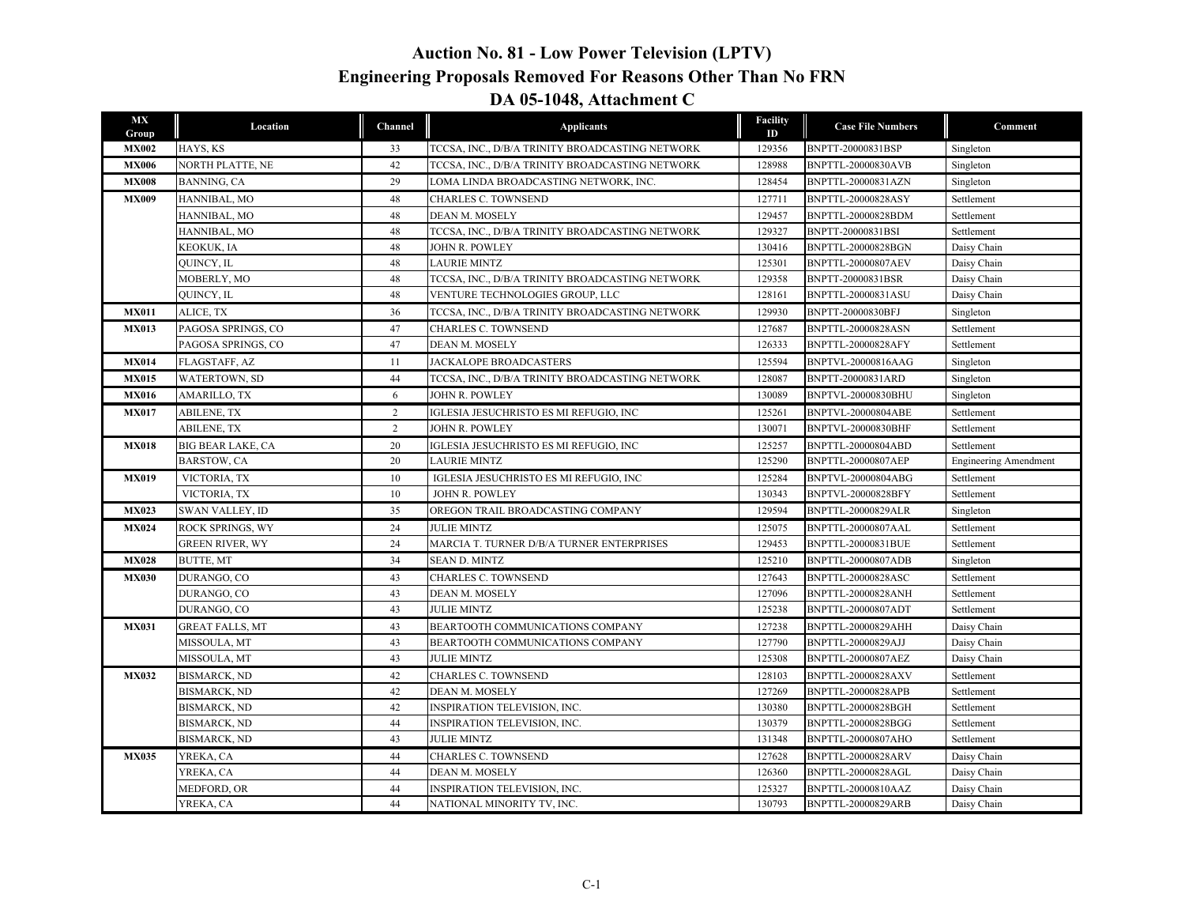## **Auction No. 81 - Low Power Television (LPTV) Engineering Proposals Removed For Reasons Other Than No FRN DA 05-1048, Attachment C**

| MX<br>Group  | Location                 | Channel        | <b>Applicants</b>                               | Facility<br>ID | <b>Case File Numbers</b>  | Comment                      |
|--------------|--------------------------|----------------|-------------------------------------------------|----------------|---------------------------|------------------------------|
| <b>MX002</b> | HAYS, KS                 | 33             | TCCSA, INC., D/B/A TRINITY BROADCASTING NETWORK | 129356         | BNPTT-20000831BSP         | Singleton                    |
| <b>MX006</b> | NORTH PLATTE, NE         | 42             | TCCSA, INC., D/B/A TRINITY BROADCASTING NETWORK | 128988         | <b>BNPTTL-20000830AVB</b> | Singleton                    |
| <b>MX008</b> | BANNING, CA              | 29             | LOMA LINDA BROADCASTING NETWORK, INC.           | 128454         | BNPTTL-20000831AZN        | Singleton                    |
| <b>MX009</b> | HANNIBAL, MO             | 48             | CHARLES C. TOWNSEND                             | 127711         | <b>BNPTTL-20000828ASY</b> | Settlement                   |
|              | HANNIBAL, MO             | 48             | DEAN M. MOSELY                                  | 129457         | BNPTTL-20000828BDM        | Settlement                   |
|              | HANNIBAL, MO             | 48             | TCCSA, INC., D/B/A TRINITY BROADCASTING NETWORK | 129327         | BNPTT-20000831BSI         | Settlement                   |
|              | KEOKUK, IA               | 48             | JOHN R. POWLEY                                  | 130416         | BNPTTL-20000828BGN        | Daisy Chain                  |
|              | QUINCY, IL               | 48             | <b>LAURIE MINTZ</b>                             | 125301         | <b>BNPTTL-20000807AEV</b> | Daisy Chain                  |
|              | MOBERLY, MO              | 48             | TCCSA, INC., D/B/A TRINITY BROADCASTING NETWORK | 129358         | BNPTT-20000831BSR         | Daisy Chain                  |
|              | QUINCY, IL               | 48             | VENTURE TECHNOLOGIES GROUP, LLC                 | 128161         | BNPTTL-20000831ASU        | Daisy Chain                  |
| <b>MX011</b> | ALICE, TX                | 36             | TCCSA, INC., D/B/A TRINITY BROADCASTING NETWORK | 129930         | BNPTT-20000830BFJ         | Singleton                    |
| <b>MX013</b> | PAGOSA SPRINGS, CO       | 47             | <b>CHARLES C. TOWNSEND</b>                      | 127687         | <b>BNPTTL-20000828ASN</b> | Settlement                   |
|              | PAGOSA SPRINGS, CO       | 47             | DEAN M. MOSELY                                  | 126333         | <b>BNPTTL-20000828AFY</b> | Settlement                   |
| <b>MX014</b> | FLAGSTAFF, AZ            | 11             | JACKALOPE BROADCASTERS                          | 125594         | BNPTVL-20000816AAG        | Singleton                    |
| <b>MX015</b> | WATERTOWN, SD            | 44             | TCCSA, INC., D/B/A TRINITY BROADCASTING NETWORK | 128087         | BNPTT-20000831ARD         | Singleton                    |
| <b>MX016</b> | <b>AMARILLO, TX</b>      | 6              | <b>JOHN R. POWLEY</b>                           | 130089         | BNPTVL-20000830BHU        | Singleton                    |
| <b>MX017</b> | <b>ABILENE, TX</b>       | $\overline{2}$ | IGLESIA JESUCHRISTO ES MI REFUGIO, INC          | 125261         | <b>BNPTVL-20000804ABE</b> | Settlement                   |
|              | <b>ABILENE, TX</b>       | 2              | JOHN R. POWLEY                                  | 130071         | BNPTVL-20000830BHF        | Settlement                   |
| <b>MX018</b> | <b>BIG BEAR LAKE, CA</b> | 20             | IGLESIA JESUCHRISTO ES MI REFUGIO, INC          | 125257         | BNPTTL-20000804ABD        | Settlement                   |
|              | <b>BARSTOW, CA</b>       | 20             | <b>LAURIE MINTZ</b>                             | 125290         | <b>BNPTTL-20000807AEP</b> | <b>Engineering Amendment</b> |
| <b>MX019</b> | VICTORIA, TX             | 10             | IGLESIA JESUCHRISTO ES MI REFUGIO, INC          | 125284         | BNPTVL-20000804ABG        | Settlement                   |
|              | VICTORIA, TX             | 10             | <b>JOHN R. POWLEY</b>                           | 130343         | <b>BNPTVL-20000828BFY</b> | Settlement                   |
| <b>MX023</b> | <b>SWAN VALLEY, ID</b>   | 35             | OREGON TRAIL BROADCASTING COMPANY               | 129594         | <b>BNPTTL-20000829ALR</b> | Singleton                    |
| <b>MX024</b> | <b>ROCK SPRINGS, WY</b>  | 24             | <b>JULIE MINTZ</b>                              | 125075         | <b>BNPTTL-20000807AAL</b> | Settlement                   |
|              | <b>GREEN RIVER, WY</b>   | 24             | MARCIA T. TURNER D/B/A TURNER ENTERPRISES       | 129453         | BNPTTL-20000831BUE        | Settlement                   |
| <b>MX028</b> | <b>BUTTE, MT</b>         | 34             | <b>SEAN D. MINTZ</b>                            | 125210         | <b>BNPTTL-20000807ADB</b> | Singleton                    |
| <b>MX030</b> | DURANGO, CO              | 43             | <b>CHARLES C. TOWNSEND</b>                      | 127643         | <b>BNPTTL-20000828ASC</b> | Settlement                   |
|              | DURANGO, CO              | 43             | DEAN M. MOSELY                                  | 127096         | <b>BNPTTL-20000828ANH</b> | Settlement                   |
|              | DURANGO, CO              | 43             | <b>JULIE MINTZ</b>                              | 125238         | <b>BNPTTL-20000807ADT</b> | Settlement                   |
| <b>MX031</b> | <b>GREAT FALLS, MT</b>   | 43             | BEARTOOTH COMMUNICATIONS COMPANY                | 127238         | <b>BNPTTL-20000829AHH</b> | Daisy Chain                  |
|              | MISSOULA, MT             | 43             | BEARTOOTH COMMUNICATIONS COMPANY                | 127790         | <b>BNPTTL-20000829AJJ</b> | Daisy Chain                  |
|              | MISSOULA, MT             | 43             | <b>JULIE MINTZ</b>                              | 125308         | <b>BNPTTL-20000807AEZ</b> | Daisy Chain                  |
| <b>MX032</b> | <b>BISMARCK, ND</b>      | 42             | <b>CHARLES C. TOWNSEND</b>                      | 128103         | <b>BNPTTL-20000828AXV</b> | Settlement                   |
|              | <b>BISMARCK, ND</b>      | 42             | DEAN M. MOSELY                                  | 127269         | <b>BNPTTL-20000828APB</b> | Settlement                   |
|              | <b>BISMARCK, ND</b>      | 42             | INSPIRATION TELEVISION, INC.                    | 130380         | BNPTTL-20000828BGH        | Settlement                   |
|              | <b>BISMARCK, ND</b>      | 44             | INSPIRATION TELEVISION, INC.                    | 130379         | BNPTTL-20000828BGG        | Settlement                   |
|              | <b>BISMARCK, ND</b>      | 43             | <b>JULIE MINTZ</b>                              | 131348         | <b>BNPTTL-20000807AHO</b> | Settlement                   |
| <b>MX035</b> | YREKA, CA                | 44             | <b>CHARLES C. TOWNSEND</b>                      | 127628         | <b>BNPTTL-20000828ARV</b> | Daisy Chain                  |
|              | YREKA, CA                | 44             | DEAN M. MOSELY                                  | 126360         | BNPTTL-20000828AGL        | Daisy Chain                  |
|              | MEDFORD, OR              | 44             | INSPIRATION TELEVISION, INC.                    | 125327         | BNPTTL-20000810AAZ        | Daisy Chain                  |
|              | YREKA, CA                | 44             | NATIONAL MINORITY TV, INC.                      | 130793         | <b>BNPTTL-20000829ARB</b> | Daisy Chain                  |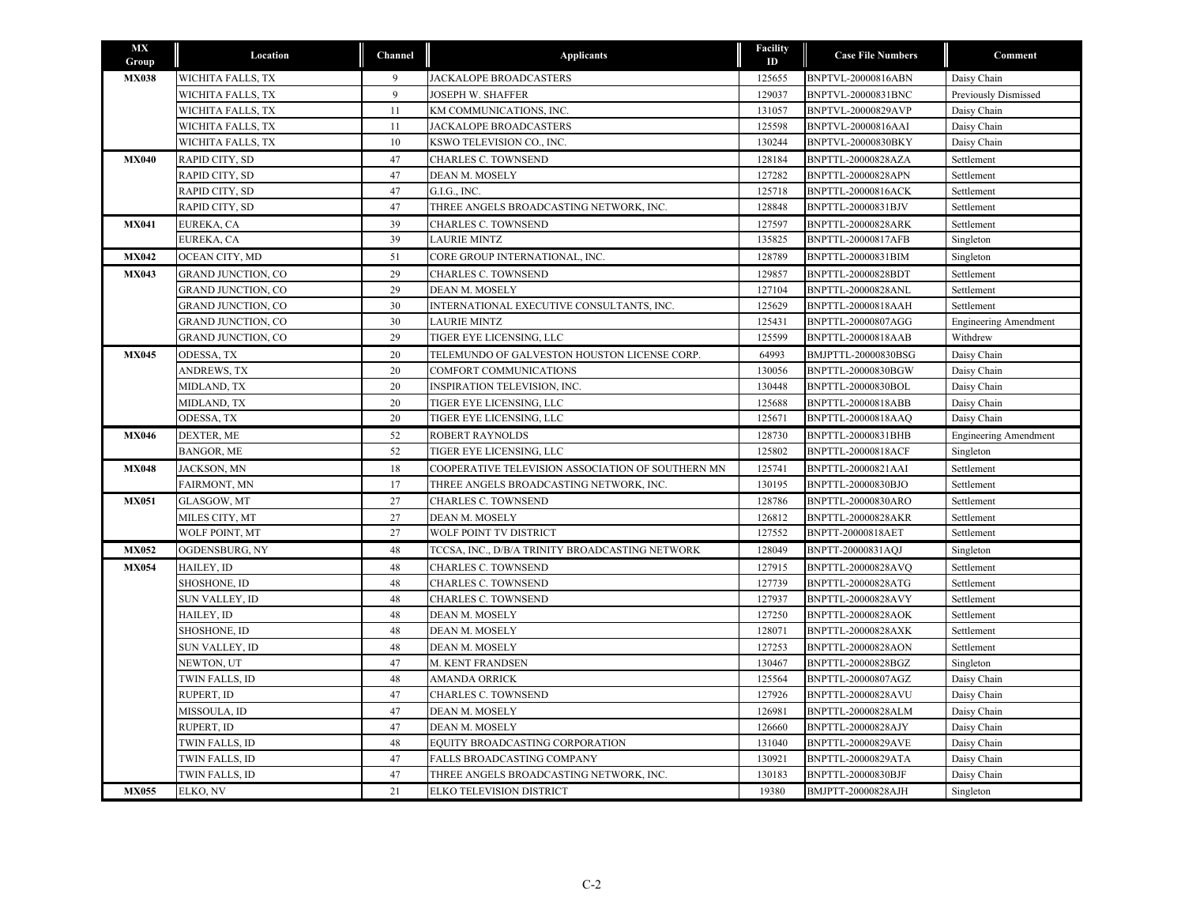| <b>MX</b><br>Group | Location                  | Channel | <b>Applicants</b>                                 | <b>Facility</b><br>ID | <b>Case File Numbers</b>  | Comment                      |
|--------------------|---------------------------|---------|---------------------------------------------------|-----------------------|---------------------------|------------------------------|
| <b>MX038</b>       | WICHITA FALLS, TX         | 9       | <b>JACKALOPE BROADCASTERS</b>                     | 125655                | BNPTVL-20000816ABN        | Daisy Chain                  |
|                    | WICHITA FALLS, TX         | 9       | <b>JOSEPH W. SHAFFER</b>                          | 129037                | BNPTVL-20000831BNC        | Previously Dismissed         |
|                    | WICHITA FALLS, TX         | 11      | KM COMMUNICATIONS, INC.                           | 131057                | BNPTVL-20000829AVP        | Daisy Chain                  |
|                    | WICHITA FALLS, TX         | 11      | JACKALOPE BROADCASTERS                            | 125598                | BNPTVL-20000816AAI        | Daisy Chain                  |
|                    | WICHITA FALLS, TX         | 10      | KSWO TELEVISION CO., INC.                         | 130244                | BNPTVL-20000830BKY        | Daisy Chain                  |
| <b>MX040</b>       | RAPID CITY, SD            | 47      | <b>CHARLES C. TOWNSEND</b>                        | 128184                | <b>BNPTTL-20000828AZA</b> | Settlement                   |
|                    | RAPID CITY, SD            | 47      | DEAN M. MOSELY                                    | 127282                | <b>BNPTTL-20000828APN</b> | Settlement                   |
|                    | RAPID CITY, SD            | 47      | G.I.G., INC.                                      | 125718                | <b>BNPTTL-20000816ACK</b> | Settlement                   |
|                    | RAPID CITY, SD            | 47      | THREE ANGELS BROADCASTING NETWORK, INC.           | 128848                | <b>BNPTTL-20000831BJV</b> | Settlement                   |
| <b>MX041</b>       | EUREKA, CA                | 39      | <b>CHARLES C. TOWNSEND</b>                        | 127597                | <b>BNPTTL-20000828ARK</b> | Settlement                   |
|                    | EUREKA, CA                | 39      | <b>LAURIE MINTZ</b>                               | 135825                | <b>BNPTTL-20000817AFB</b> | Singleton                    |
| <b>MX042</b>       | OCEAN CITY, MD            | 51      | CORE GROUP INTERNATIONAL, INC.                    | 128789                | BNPTTL-20000831BIM        | Singleton                    |
| <b>MX043</b>       | <b>GRAND JUNCTION, CO</b> | 29      | <b>CHARLES C. TOWNSEND</b>                        | 129857                | BNPTTL-20000828BDT        | Settlement                   |
|                    | GRAND JUNCTION, CO        | 29      | DEAN M. MOSELY                                    | 127104                | <b>BNPTTL-20000828ANL</b> | Settlement                   |
|                    | <b>GRAND JUNCTION, CO</b> | 30      | INTERNATIONAL EXECUTIVE CONSULTANTS, INC.         | 125629                | BNPTTL-20000818AAH        | Settlement                   |
|                    | <b>GRAND JUNCTION, CO</b> | 30      | <b>LAURIE MINTZ</b>                               | 125431                | BNPTTL-20000807AGG        | <b>Engineering Amendment</b> |
|                    | GRAND JUNCTION, CO        | 29      | TIGER EYE LICENSING, LLC                          | 125599                | BNPTTL-20000818AAB        | Withdrew                     |
| <b>MX045</b>       | ODESSA, TX                | 20      | TELEMUNDO OF GALVESTON HOUSTON LICENSE CORP.      | 64993                 | BMJPTTL-20000830BSG       | Daisy Chain                  |
|                    | <b>ANDREWS, TX</b>        | 20      | COMFORT COMMUNICATIONS                            | 130056                | BNPTTL-20000830BGW        | Daisy Chain                  |
|                    | MIDLAND, TX               | 20      | INSPIRATION TELEVISION, INC.                      | 130448                | BNPTTL-20000830BOL        | Daisy Chain                  |
|                    | MIDLAND, TX               | 20      | TIGER EYE LICENSING, LLC                          | 125688                | <b>BNPTTL-20000818ABB</b> | Daisy Chain                  |
|                    | ODESSA, TX                | 20      | TIGER EYE LICENSING, LLC                          | 125671                | BNPTTL-20000818AAQ        | Daisy Chain                  |
| <b>MX046</b>       | DEXTER, ME                | 52      | ROBERT RAYNOLDS                                   | 128730                | BNPTTL-20000831BHB        | <b>Engineering Amendment</b> |
|                    | <b>BANGOR, ME</b>         | 52      | TIGER EYE LICENSING, LLC                          | 125802                | <b>BNPTTL-20000818ACF</b> | Singleton                    |
| <b>MX048</b>       | JACKSON, MN               | 18      | COOPERATIVE TELEVISION ASSOCIATION OF SOUTHERN MN | 125741                | BNPTTL-20000821AAI        | Settlement                   |
|                    | FAIRMONT, MN              | 17      | THREE ANGELS BROADCASTING NETWORK, INC.           | 130195                | BNPTTL-20000830BJO        | Settlement                   |
| <b>MX051</b>       | GLASGOW, MT               | 27      | <b>CHARLES C. TOWNSEND</b>                        | 128786                | BNPTTL-20000830ARO        | Settlement                   |
|                    | MILES CITY, MT            | 27      | DEAN M. MOSELY                                    | 126812                | <b>BNPTTL-20000828AKR</b> | Settlement                   |
|                    | WOLF POINT, MT            | 27      | WOLF POINT TV DISTRICT                            | 127552                | BNPTT-20000818AET         | Settlement                   |
| <b>MX052</b>       | OGDENSBURG, NY            | 48      | TCCSA, INC., D/B/A TRINITY BROADCASTING NETWORK   | 128049                | BNPTT-20000831AQJ         | Singleton                    |
| <b>MX054</b>       | HAILEY, ID                | 48      | CHARLES C. TOWNSEND                               | 127915                | <b>BNPTTL-20000828AVQ</b> | Settlement                   |
|                    | SHOSHONE, ID              | 48      | <b>CHARLES C. TOWNSEND</b>                        | 127739                | BNPTTL-20000828ATG        | Settlement                   |
|                    | SUN VALLEY, ID            | 48      | CHARLES C. TOWNSEND                               | 127937                | BNPTTL-20000828AVY        | Settlement                   |
|                    | HAILEY, ID                | 48      | DEAN M. MOSELY                                    | 127250                | BNPTTL-20000828AOK        | Settlement                   |
|                    | SHOSHONE, ID              | 48      | DEAN M. MOSELY                                    | 128071                | <b>BNPTTL-20000828AXK</b> | Settlement                   |
|                    | SUN VALLEY, ID            | 48      | DEAN M. MOSELY                                    | 127253                | <b>BNPTTL-20000828AON</b> | Settlement                   |
|                    | NEWTON, UT                | 47      | M. KENT FRANDSEN                                  | 130467                | BNPTTL-20000828BGZ        | Singleton                    |
|                    | <b>TWIN FALLS, ID</b>     | 48      | <b>AMANDA ORRICK</b>                              | 125564                | BNPTTL-20000807AGZ        | Daisy Chain                  |
|                    | RUPERT, ID                | 47      | <b>CHARLES C. TOWNSEND</b>                        | 127926                | <b>BNPTTL-20000828AVU</b> | Daisy Chain                  |
|                    | MISSOULA, ID              | 47      | DEAN M. MOSELY                                    | 126981                | BNPTTL-20000828ALM        | Daisy Chain                  |
|                    | RUPERT, ID                | 47      | DEAN M. MOSELY                                    | 126660                | BNPTTL-20000828AJY        | Daisy Chain                  |
|                    | <b>TWIN FALLS, ID</b>     | 48      | EQUITY BROADCASTING CORPORATION                   | 131040                | BNPTTL-20000829AVE        | Daisy Chain                  |
|                    | <b>TWIN FALLS, ID</b>     | 47      | FALLS BROADCASTING COMPANY                        | 130921                | BNPTTL-20000829ATA        | Daisy Chain                  |
|                    | <b>TWIN FALLS, ID</b>     | 47      | THREE ANGELS BROADCASTING NETWORK, INC.           | 130183                | <b>BNPTTL-20000830BJF</b> | Daisy Chain                  |
| <b>MX055</b>       | ELKO, NV                  | 21      | ELKO TELEVISION DISTRICT                          | 19380                 | <b>BMJPTT-20000828AJH</b> | Singleton                    |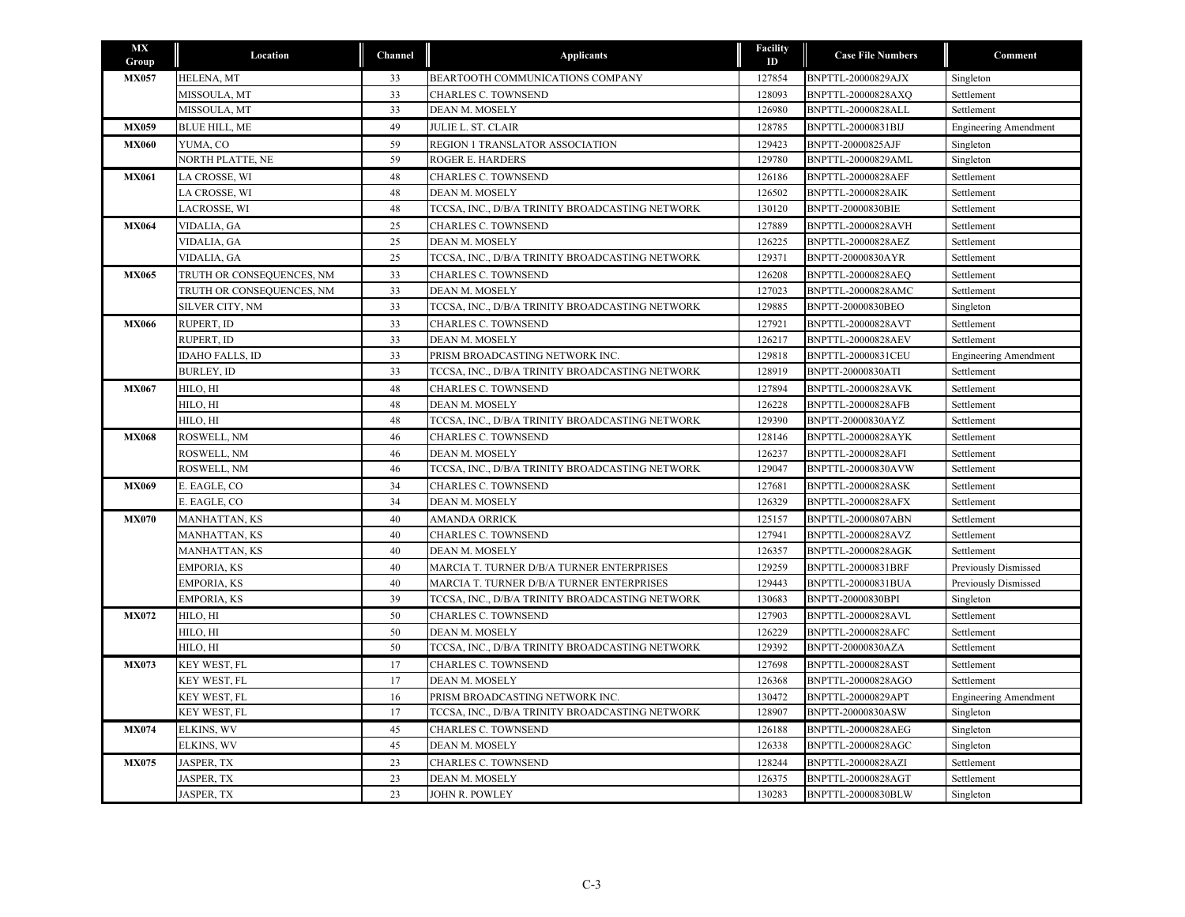| <b>MX</b><br>Group | Location                  | Channel | <b>Applicants</b>                               | Facility<br>ID | <b>Case File Numbers</b>  | Comment                      |
|--------------------|---------------------------|---------|-------------------------------------------------|----------------|---------------------------|------------------------------|
| <b>MX057</b>       | HELENA, MT                | 33      | BEARTOOTH COMMUNICATIONS COMPANY                | 127854         | BNPTTL-20000829AJX        | Singleton                    |
|                    | MISSOULA, MT              | 33      | <b>CHARLES C. TOWNSEND</b>                      | 128093         | BNPTTL-20000828AXO        | Settlement                   |
|                    | MISSOULA, MT              | 33      | DEAN M. MOSELY                                  | 126980         | BNPTTL-20000828ALL        | Settlement                   |
| <b>MX059</b>       | <b>BLUE HILL, ME</b>      | 49      | JULIE L. ST. CLAIR                              | 128785         | BNPTTL-20000831BIJ        | <b>Engineering Amendment</b> |
| <b>MX060</b>       | YUMA, CO                  | 59      | REGION 1 TRANSLATOR ASSOCIATION                 | 129423         | <b>BNPTT-20000825AJF</b>  | Singleton                    |
|                    | NORTH PLATTE, NE          | 59      | <b>ROGER E. HARDERS</b>                         | 129780         | BNPTTL-20000829AML        | Singleton                    |
| <b>MX061</b>       | LA CROSSE, WI             | 48      | <b>CHARLES C. TOWNSEND</b>                      | 126186         | <b>BNPTTL-20000828AEF</b> | Settlement                   |
|                    | LA CROSSE, WI             | 48      | DEAN M. MOSELY                                  | 126502         | BNPTTL-20000828AIK        | Settlement                   |
|                    | LACROSSE, WI              | 48      | TCCSA, INC., D/B/A TRINITY BROADCASTING NETWORK | 130120         | BNPTT-20000830BIE         | Settlement                   |
| <b>MX064</b>       | VIDALIA, GA               | 25      | <b>CHARLES C. TOWNSEND</b>                      | 127889         | <b>BNPTTL-20000828AVH</b> | Settlement                   |
|                    | VIDALIA, GA               | 25      | DEAN M. MOSELY                                  | 126225         | BNPTTL-20000828AEZ        | Settlement                   |
|                    | VIDALIA, GA               | 25      | TCCSA, INC., D/B/A TRINITY BROADCASTING NETWORK | 129371         | BNPTT-20000830AYR         | Settlement                   |
| <b>MX065</b>       | TRUTH OR CONSEQUENCES, NM | 33      | CHARLES C. TOWNSEND                             | 126208         | <b>BNPTTL-20000828AEQ</b> | Settlement                   |
|                    | TRUTH OR CONSEQUENCES, NM | 33      | DEAN M. MOSELY                                  | 127023         | <b>BNPTTL-20000828AMC</b> | Settlement                   |
|                    | <b>SILVER CITY, NM</b>    | 33      | TCCSA, INC., D/B/A TRINITY BROADCASTING NETWORK | 129885         | BNPTT-20000830BEO         | Singleton                    |
| <b>MX066</b>       | RUPERT, ID                | 33      | <b>CHARLES C. TOWNSEND</b>                      | 127921         | BNPTTL-20000828AVT        | Settlement                   |
|                    | RUPERT, ID                | 33      | DEAN M. MOSELY                                  | 126217         | BNPTTL-20000828AEV        | Settlement                   |
|                    | <b>IDAHO FALLS, ID</b>    | 33      | PRISM BROADCASTING NETWORK INC.                 | 129818         | BNPTTL-20000831CEU        | <b>Engineering Amendment</b> |
|                    | <b>BURLEY, ID</b>         | 33      | TCCSA, INC., D/B/A TRINITY BROADCASTING NETWORK | 128919         | BNPTT-20000830ATI         | Settlement                   |
| <b>MX067</b>       | HILO, HI                  | 48      | <b>CHARLES C. TOWNSEND</b>                      | 127894         | <b>BNPTTL-20000828AVK</b> | Settlement                   |
|                    | HILO, HI                  | 48      | DEAN M. MOSELY                                  | 126228         | BNPTTL-20000828AFB        | Settlement                   |
|                    | HILO, HI                  | 48      | TCCSA, INC., D/B/A TRINITY BROADCASTING NETWORK | 129390         | BNPTT-20000830AYZ         | Settlement                   |
| <b>MX068</b>       | ROSWELL, NM               | 46      | <b>CHARLES C. TOWNSEND</b>                      | 128146         | BNPTTL-20000828AYK        | Settlement                   |
|                    | ROSWELL, NM               | 46      | DEAN M. MOSELY                                  | 126237         | BNPTTL-20000828AFI        | Settlement                   |
|                    | ROSWELL, NM               | 46      | TCCSA, INC., D/B/A TRINITY BROADCASTING NETWORK | 129047         | BNPTTL-20000830AVW        | Settlement                   |
| <b>MX069</b>       | E. EAGLE, CO              | 34      | CHARLES C. TOWNSEND                             | 127681         | <b>BNPTTL-20000828ASK</b> | Settlement                   |
|                    | E. EAGLE, CO              | 34      | DEAN M. MOSELY                                  | 126329         | <b>BNPTTL-20000828AFX</b> | Settlement                   |
| <b>MX070</b>       | MANHATTAN, KS             | 40      | <b>AMANDA ORRICK</b>                            | 125157         | <b>BNPTTL-20000807ABN</b> | Settlement                   |
|                    | MANHATTAN, KS             | 40      | <b>CHARLES C. TOWNSEND</b>                      | 127941         | BNPTTL-20000828AVZ        | Settlement                   |
|                    | MANHATTAN, KS             | 40      | DEAN M. MOSELY                                  | 126357         | <b>BNPTTL-20000828AGK</b> | Settlement                   |
|                    | <b>EMPORIA, KS</b>        | 40      | MARCIA T. TURNER D/B/A TURNER ENTERPRISES       | 129259         | BNPTTL-20000831BRF        | Previously Dismissed         |
|                    | <b>EMPORIA, KS</b>        | 40      | MARCIA T. TURNER D/B/A TURNER ENTERPRISES       | 129443         | BNPTTL-20000831BUA        | Previously Dismissed         |
|                    | EMPORIA, KS               | 39      | TCCSA, INC., D/B/A TRINITY BROADCASTING NETWORK | 130683         | BNPTT-20000830BPI         | Singleton                    |
| <b>MX072</b>       | HILO, HI                  | 50      | <b>CHARLES C. TOWNSEND</b>                      | 127903         | <b>BNPTTL-20000828AVL</b> | Settlement                   |
|                    | HILO, HI                  | 50      | DEAN M. MOSELY                                  | 126229         | BNPTTL-20000828AFC        | Settlement                   |
|                    | HILO, HI                  | 50      | TCCSA, INC., D/B/A TRINITY BROADCASTING NETWORK | 129392         | BNPTT-20000830AZA         | Settlement                   |
| <b>MX073</b>       | KEY WEST, FL              | 17      | <b>CHARLES C. TOWNSEND</b>                      | 127698         | BNPTTL-20000828AST        | Settlement                   |
|                    | KEY WEST, FL              | 17      | DEAN M. MOSELY                                  | 126368         | BNPTTL-20000828AGO        | Settlement                   |
|                    | KEY WEST, FL              | 16      | PRISM BROADCASTING NETWORK INC.                 | 130472         | BNPTTL-20000829APT        | <b>Engineering Amendment</b> |
|                    | KEY WEST, FL              | 17      | TCCSA, INC., D/B/A TRINITY BROADCASTING NETWORK | 128907         | BNPTT-20000830ASW         | Singleton                    |
| <b>MX074</b>       | ELKINS, WV                | 45      | CHARLES C. TOWNSEND                             | 126188         | BNPTTL-20000828AEG        | Singleton                    |
|                    | ELKINS, WV                | 45      | DEAN M. MOSELY                                  | 126338         | BNPTTL-20000828AGC        | Singleton                    |
| <b>MX075</b>       | JASPER, TX                | 23      | <b>CHARLES C. TOWNSEND</b>                      | 128244         | BNPTTL-20000828AZI        | Settlement                   |
|                    | JASPER, TX                | 23      | DEAN M. MOSELY                                  | 126375         | BNPTTL-20000828AGT        | Settlement                   |
|                    | JASPER, TX                | 23      | JOHN R. POWLEY                                  | 130283         | BNPTTL-20000830BLW        | Singleton                    |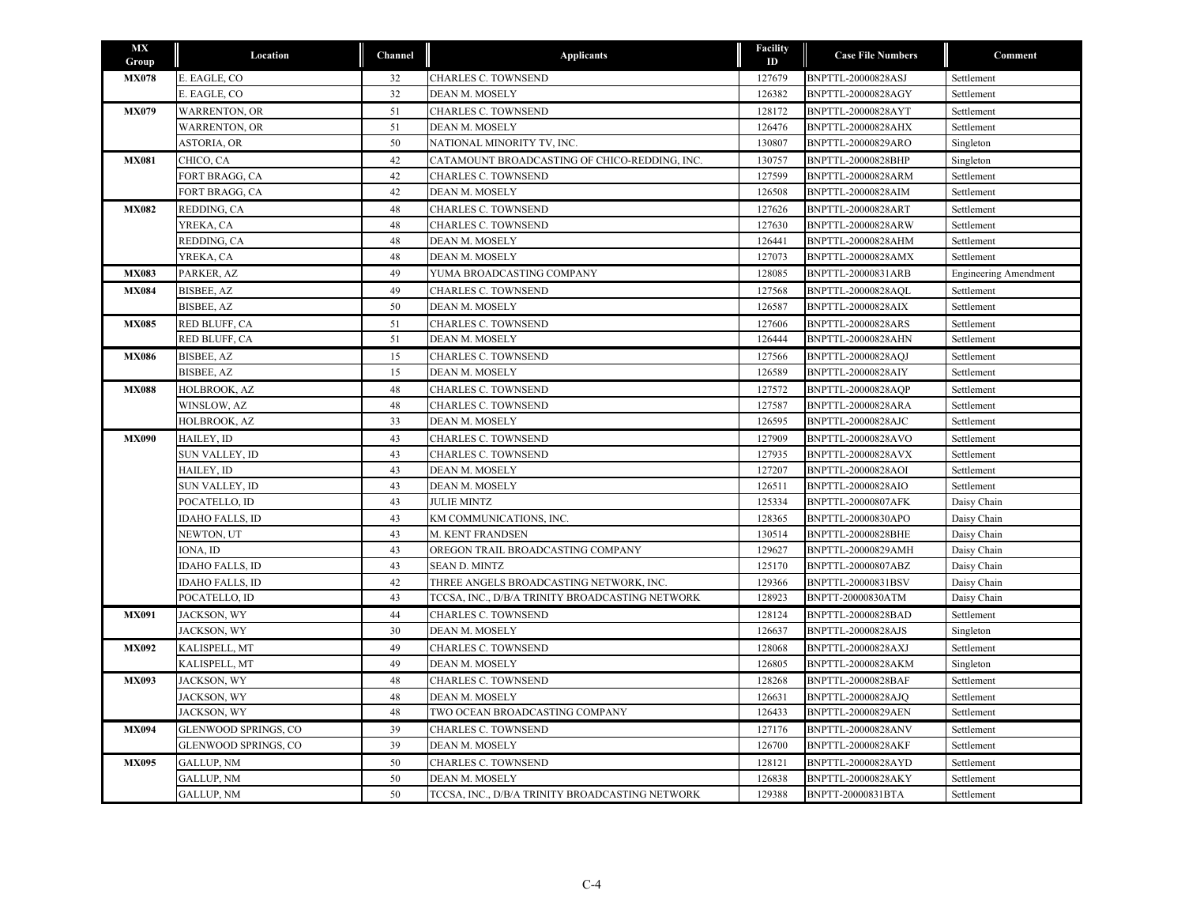| <b>MX</b><br>Group | Location               | Channel | <b>Applicants</b>                               | <b>Facility</b><br>ID | <b>Case File Numbers</b>  | Comment                      |
|--------------------|------------------------|---------|-------------------------------------------------|-----------------------|---------------------------|------------------------------|
| <b>MX078</b>       | E. EAGLE, CO           | 32      | CHARLES C. TOWNSEND                             | 127679                | BNPTTL-20000828ASJ        | Settlement                   |
|                    | E. EAGLE, CO           | 32      | DEAN M. MOSELY                                  | 126382                | BNPTTL-20000828AGY        | Settlement                   |
| <b>MX079</b>       | <b>WARRENTON, OR</b>   | 51      | CHARLES C. TOWNSEND                             | 128172                | BNPTTL-20000828AYT        | Settlement                   |
|                    | <b>WARRENTON, OR</b>   | 51      | DEAN M. MOSELY                                  | 126476                | <b>BNPTTL-20000828AHX</b> | Settlement                   |
|                    | <b>ASTORIA, OR</b>     | 50      | NATIONAL MINORITY TV, INC.                      | 130807                | BNPTTL-20000829ARO        | Singleton                    |
| <b>MX081</b>       | CHICO, CA              | 42      | CATAMOUNT BROADCASTING OF CHICO-REDDING, INC.   | 130757                | BNPTTL-20000828BHP        | Singleton                    |
|                    | FORT BRAGG, CA         | 42      | <b>CHARLES C. TOWNSEND</b>                      | 127599                | <b>BNPTTL-20000828ARM</b> | Settlement                   |
|                    | FORT BRAGG, CA         | 42      | DEAN M. MOSELY                                  | 126508                | <b>BNPTTL-20000828AIM</b> | Settlement                   |
| <b>MX082</b>       | REDDING, CA            | 48      | <b>CHARLES C. TOWNSEND</b>                      | 127626                | <b>BNPTTL-20000828ART</b> | Settlement                   |
|                    | YREKA, CA              | 48      | <b>CHARLES C. TOWNSEND</b>                      | 127630                | <b>BNPTTL-20000828ARW</b> | Settlement                   |
|                    | REDDING, CA            | 48      | DEAN M. MOSELY                                  | 126441                | BNPTTL-20000828AHM        | Settlement                   |
|                    | YREKA, CA              | 48      | DEAN M. MOSELY                                  | 127073                | <b>BNPTTL-20000828AMX</b> | Settlement                   |
| <b>MX083</b>       | PARKER, AZ             | 49      | YUMA BROADCASTING COMPANY                       | 128085                | BNPTTL-20000831ARB        | <b>Engineering Amendment</b> |
| <b>MX084</b>       | <b>BISBEE, AZ</b>      | 49      | <b>CHARLES C. TOWNSEND</b>                      | 127568                | <b>BNPTTL-20000828AQL</b> | Settlement                   |
|                    | BISBEE, AZ             | 50      | DEAN M. MOSELY                                  | 126587                | <b>BNPTTL-20000828AIX</b> | Settlement                   |
| <b>MX085</b>       | RED BLUFF, CA          | 51      | <b>CHARLES C. TOWNSEND</b>                      | 127606                | <b>BNPTTL-20000828ARS</b> | Settlement                   |
|                    | RED BLUFF, CA          | 51      | DEAN M. MOSELY                                  | 126444                | <b>BNPTTL-20000828AHN</b> | Settlement                   |
| <b>MX086</b>       | BISBEE, AZ             | 15      | CHARLES C. TOWNSEND                             | 127566                | <b>BNPTTL-20000828AQJ</b> | Settlement                   |
|                    | <b>BISBEE, AZ</b>      | 15      | DEAN M. MOSELY                                  | 126589                | <b>BNPTTL-20000828AIY</b> | Settlement                   |
| <b>MX088</b>       | HOLBROOK, AZ           | 48      | <b>CHARLES C. TOWNSEND</b>                      | 127572                | <b>BNPTTL-20000828AOP</b> | Settlement                   |
|                    | WINSLOW, AZ            | 48      | CHARLES C. TOWNSEND                             | 127587                | <b>BNPTTL-20000828ARA</b> | Settlement                   |
|                    | HOLBROOK, AZ           | 33      | DEAN M. MOSELY                                  | 126595                | <b>BNPTTL-20000828AJC</b> | Settlement                   |
| <b>MX090</b>       | HAILEY, ID             | 43      | CHARLES C. TOWNSEND                             | 127909                | BNPTTL-20000828AVO        | Settlement                   |
|                    | SUN VALLEY, ID         | 43      | <b>CHARLES C. TOWNSEND</b>                      | 127935                | <b>BNPTTL-20000828AVX</b> | Settlement                   |
|                    | HAILEY, ID             | 43      | DEAN M. MOSELY                                  | 127207                | BNPTTL-20000828AOI        | Settlement                   |
|                    | SUN VALLEY, ID         | 43      | DEAN M. MOSELY                                  | 126511                | <b>BNPTTL-20000828AIO</b> | Settlement                   |
|                    | POCATELLO, ID          | 43      | <b>JULIE MINTZ</b>                              | 125334                | <b>BNPTTL-20000807AFK</b> | Daisy Chain                  |
|                    | <b>IDAHO FALLS, ID</b> | 43      | KM COMMUNICATIONS, INC.                         | 128365                | BNPTTL-20000830APO        | Daisy Chain                  |
|                    | NEWTON, UT             | 43      | M. KENT FRANDSEN                                | 130514                | <b>BNPTTL-20000828BHE</b> | Daisy Chain                  |
|                    | IONA, ID               | 43      | OREGON TRAIL BROADCASTING COMPANY               | 129627                | <b>BNPTTL-20000829AMH</b> | Daisy Chain                  |
|                    | <b>IDAHO FALLS, ID</b> | 43      | <b>SEAN D. MINTZ</b>                            | 125170                | BNPTTL-20000807ABZ        | Daisy Chain                  |
|                    | <b>IDAHO FALLS, ID</b> | 42      | THREE ANGELS BROADCASTING NETWORK, INC.         | 129366                | BNPTTL-20000831BSV        | Daisy Chain                  |
|                    | POCATELLO, ID          | 43      | TCCSA, INC., D/B/A TRINITY BROADCASTING NETWORK | 128923                | BNPTT-20000830ATM         | Daisy Chain                  |
| <b>MX091</b>       | JACKSON, WY            | 44      | <b>CHARLES C. TOWNSEND</b>                      | 128124                | BNPTTL-20000828BAD        | Settlement                   |
|                    | JACKSON, WY            | 30      | DEAN M. MOSELY                                  | 126637                | BNPTTL-20000828AJS        | Singleton                    |
| <b>MX092</b>       | KALISPELL, MT          | 49      | <b>CHARLES C. TOWNSEND</b>                      | 128068                | <b>BNPTTL-20000828AXJ</b> | Settlement                   |
|                    | KALISPELL, MT          | 49      | DEAN M. MOSELY                                  | 126805                | <b>BNPTTL-20000828AKM</b> | Singleton                    |
| <b>MX093</b>       | JACKSON, WY            | 48      | <b>CHARLES C. TOWNSEND</b>                      | 128268                | BNPTTL-20000828BAF        | Settlement                   |
|                    | JACKSON, WY            | 48      | DEAN M. MOSELY                                  | 126631                | BNPTTL-20000828AJQ        | Settlement                   |
|                    | JACKSON, WY            | 48      | TWO OCEAN BROADCASTING COMPANY                  | 126433                | <b>BNPTTL-20000829AEN</b> | Settlement                   |
| <b>MX094</b>       | GLENWOOD SPRINGS, CO   | 39      | <b>CHARLES C. TOWNSEND</b>                      | 127176                | <b>BNPTTL-20000828ANV</b> | Settlement                   |
|                    | GLENWOOD SPRINGS, CO   | 39      | DEAN M. MOSELY                                  | 126700                | <b>BNPTTL-20000828AKF</b> | Settlement                   |
| <b>MX095</b>       | <b>GALLUP, NM</b>      | 50      | <b>CHARLES C. TOWNSEND</b>                      | 128121                | BNPTTL-20000828AYD        | Settlement                   |
|                    | <b>GALLUP, NM</b>      | 50      | DEAN M. MOSELY                                  | 126838                | <b>BNPTTL-20000828AKY</b> | Settlement                   |
|                    | <b>GALLUP, NM</b>      | 50      | TCCSA, INC., D/B/A TRINITY BROADCASTING NETWORK | 129388                | BNPTT-20000831BTA         | Settlement                   |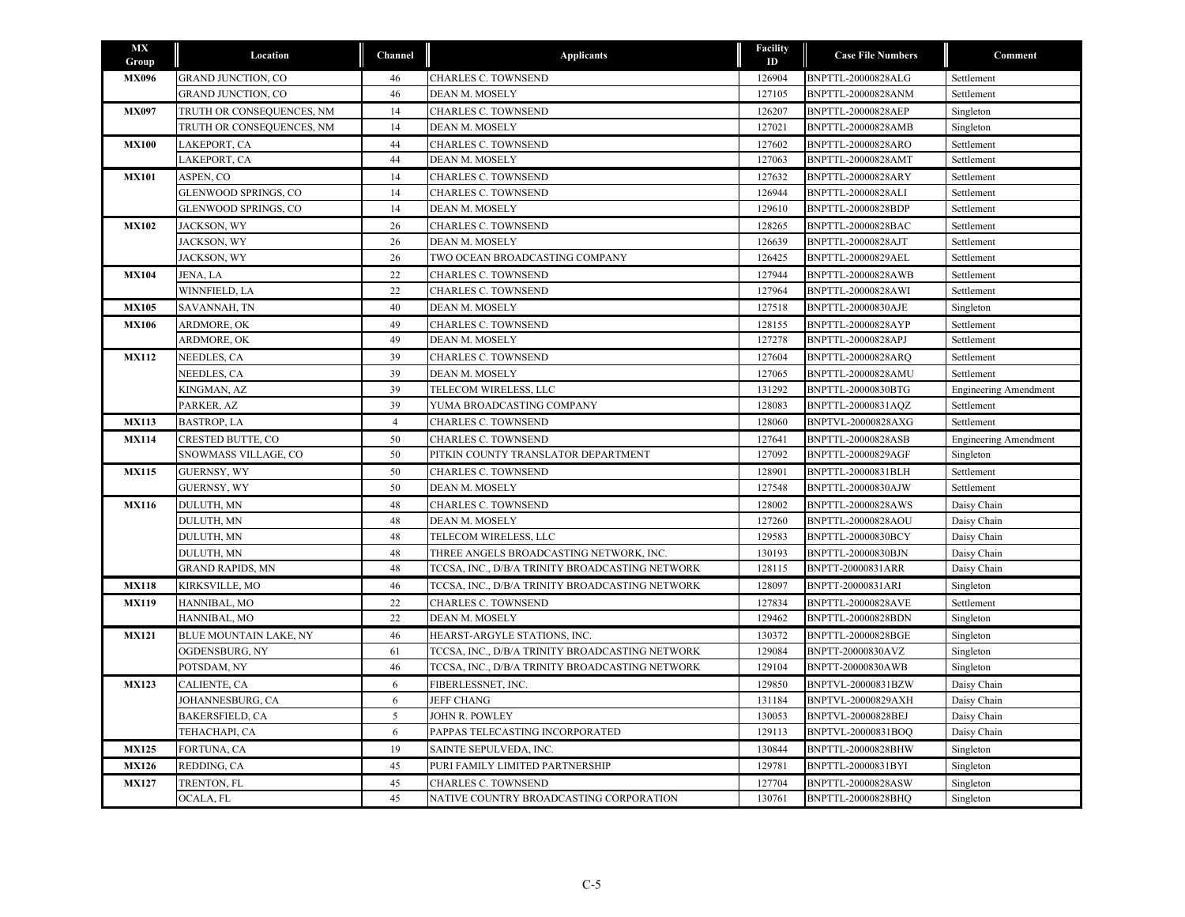| MX<br>Group  | Location                  | Channel        | <b>Applicants</b>                               | <b>Facility</b><br>ID | <b>Case File Numbers</b>  | Comment                      |
|--------------|---------------------------|----------------|-------------------------------------------------|-----------------------|---------------------------|------------------------------|
| <b>MX096</b> | <b>GRAND JUNCTION, CO</b> | 46             | CHARLES C. TOWNSEND                             | 126904                | BNPTTL-20000828ALG        | Settlement                   |
|              | <b>GRAND JUNCTION, CO</b> | 46             | <b>DEAN M. MOSELY</b>                           | 127105                | <b>BNPTTL-20000828ANM</b> | Settlement                   |
| <b>MX097</b> | TRUTH OR CONSEQUENCES, NM | 14             | <b>CHARLES C. TOWNSEND</b>                      | 126207                | <b>BNPTTL-20000828AEP</b> | Singleton                    |
|              | TRUTH OR CONSEQUENCES, NM | 14             | DEAN M. MOSELY                                  | 127021                | <b>BNPTTL-20000828AMB</b> | Singleton                    |
| <b>MX100</b> | LAKEPORT, CA              | 44             | CHARLES C. TOWNSEND                             | 127602                | BNPTTL-20000828ARO        | Settlement                   |
|              | LAKEPORT, CA              | 44             | DEAN M. MOSELY                                  | 127063                | <b>BNPTTL-20000828AMT</b> | Settlement                   |
| <b>MX101</b> | ASPEN, CO                 | 14             | <b>CHARLES C. TOWNSEND</b>                      | 127632                | BNPTTL-20000828ARY        | Settlement                   |
|              | GLENWOOD SPRINGS, CO      | 14             | CHARLES C. TOWNSEND                             | 126944                | BNPTTL-20000828ALI        | Settlement                   |
|              | GLENWOOD SPRINGS, CO      | 14             | DEAN M. MOSELY                                  | 129610                | <b>BNPTTL-20000828BDP</b> | Settlement                   |
| <b>MX102</b> | JACKSON, WY               | 26             | CHARLES C. TOWNSEND                             | 128265                | BNPTTL-20000828BAC        | Settlement                   |
|              | JACKSON, WY               | 26             | DEAN M. MOSELY                                  | 126639                | BNPTTL-20000828AJT        | Settlement                   |
|              | JACKSON, WY               | 26             | TWO OCEAN BROADCASTING COMPANY                  | 126425                | <b>BNPTTL-20000829AEL</b> | Settlement                   |
| <b>MX104</b> | JENA, LA                  | 22             | <b>CHARLES C. TOWNSEND</b>                      | 127944                | <b>BNPTTL-20000828AWB</b> | Settlement                   |
|              | WINNFIELD, LA             | 22             | CHARLES C. TOWNSEND                             | 127964                | BNPTTL-20000828AWI        | Settlement                   |
| <b>MX105</b> | SAVANNAH, TN              | 40             | DEAN M. MOSELY                                  | 127518                | BNPTTL-20000830AJE        | Singleton                    |
| <b>MX106</b> | ARDMORE, OK               | 49             | CHARLES C. TOWNSEND                             | 128155                | BNPTTL-20000828AYP        | Settlement                   |
|              | ARDMORE, OK               | 49             | DEAN M. MOSELY                                  | 127278                | <b>BNPTTL-20000828APJ</b> | Settlement                   |
| <b>MX112</b> | NEEDLES, CA               | 39             | CHARLES C. TOWNSEND                             | 127604                | <b>BNPTTL-20000828ARO</b> | Settlement                   |
|              | NEEDLES, CA               | 39             | DEAN M. MOSELY                                  | 127065                | BNPTTL-20000828AMU        | Settlement                   |
|              | KINGMAN, AZ               | 39             | TELECOM WIRELESS, LLC                           | 131292                | BNPTTL-20000830BTG        | <b>Engineering Amendment</b> |
|              | PARKER, AZ                | 39             | YUMA BROADCASTING COMPANY                       | 128083                | BNPTTL-20000831AQZ        | Settlement                   |
| <b>MX113</b> | <b>BASTROP, LA</b>        | $\overline{4}$ | CHARLES C. TOWNSEND                             | 128060                | BNPTVL-20000828AXG        | Settlement                   |
| <b>MX114</b> | CRESTED BUTTE, CO         | 50             | CHARLES C. TOWNSEND                             | 127641                | <b>BNPTTL-20000828ASB</b> | <b>Engineering Amendment</b> |
|              | SNOWMASS VILLAGE, CO      | 50             | PITKIN COUNTY TRANSLATOR DEPARTMENT             | 127092                | <b>BNPTTL-20000829AGF</b> | Singleton                    |
| <b>MX115</b> | <b>GUERNSY, WY</b>        | 50             | CHARLES C. TOWNSEND                             | 128901                | BNPTTL-20000831BLH        | Settlement                   |
|              | <b>GUERNSY, WY</b>        | 50             | DEAN M. MOSELY                                  | 127548                | BNPTTL-20000830AJW        | Settlement                   |
| <b>MX116</b> | DULUTH, MN                | 48             | CHARLES C. TOWNSEND                             | 128002                | BNPTTL-20000828AWS        | Daisy Chain                  |
|              | DULUTH, MN                | 48             | DEAN M. MOSELY                                  | 127260                | BNPTTL-20000828AOU        | Daisy Chain                  |
|              | DULUTH, MN                | 48             | TELECOM WIRELESS, LLC                           | 129583                | BNPTTL-20000830BCY        | Daisy Chain                  |
|              | DULUTH, MN                | 48             | THREE ANGELS BROADCASTING NETWORK, INC.         | 130193                | <b>BNPTTL-20000830BJN</b> | Daisy Chain                  |
|              | <b>GRAND RAPIDS, MN</b>   | 48             | TCCSA, INC., D/B/A TRINITY BROADCASTING NETWORK | 128115                | BNPTT-20000831ARR         | Daisy Chain                  |
| <b>MX118</b> | KIRKSVILLE, MO            | 46             | TCCSA, INC., D/B/A TRINITY BROADCASTING NETWORK | 128097                | BNPTT-20000831ARI         | Singleton                    |
| <b>MX119</b> | HANNIBAL, MO              | 22             | CHARLES C. TOWNSEND                             | 127834                | <b>BNPTTL-20000828AVE</b> | Settlement                   |
|              | HANNIBAL, MO              | 22             | DEAN M. MOSELY                                  | 129462                | <b>BNPTTL-20000828BDN</b> | Singleton                    |
| <b>MX121</b> | BLUE MOUNTAIN LAKE, NY    | 46             | HEARST-ARGYLE STATIONS, INC.                    | 130372                | BNPTTL-20000828BGE        | Singleton                    |
|              | OGDENSBURG, NY            | 61             | TCCSA, INC., D/B/A TRINITY BROADCASTING NETWORK | 129084                | BNPTT-20000830AVZ         | Singleton                    |
|              | POTSDAM, NY               | 46             | TCCSA, INC., D/B/A TRINITY BROADCASTING NETWORK | 129104                | BNPTT-20000830AWB         | Singleton                    |
| <b>MX123</b> | CALIENTE, CA              | 6              | FIBERLESSNET, INC.                              | 129850                | BNPTVL-20000831BZW        | Daisy Chain                  |
|              | JOHANNESBURG, CA          | 6              | <b>JEFF CHANG</b>                               | 131184                | BNPTVL-20000829AXH        | Daisy Chain                  |
|              | <b>BAKERSFIELD, CA</b>    | 5              | <b>JOHN R. POWLEY</b>                           | 130053                | BNPTVL-20000828BEJ        | Daisy Chain                  |
|              | TEHACHAPI, CA             | 6              | PAPPAS TELECASTING INCORPORATED                 | 129113                | BNPTVL-20000831BOQ        | Daisy Chain                  |
| <b>MX125</b> | FORTUNA, CA               | 19             | SAINTE SEPULVEDA, INC.                          | 130844                | BNPTTL-20000828BHW        | Singleton                    |
| <b>MX126</b> | REDDING, CA               | 45             | PURI FAMILY LIMITED PARTNERSHIP                 | 129781                | BNPTTL-20000831BYI        | Singleton                    |
| <b>MX127</b> | TRENTON, FL               | 45             | CHARLES C. TOWNSEND                             | 127704                | BNPTTL-20000828ASW        | Singleton                    |
|              | OCALA, FL                 | 45             | NATIVE COUNTRY BROADCASTING CORPORATION         | 130761                | <b>BNPTTL-20000828BHO</b> | Singleton                    |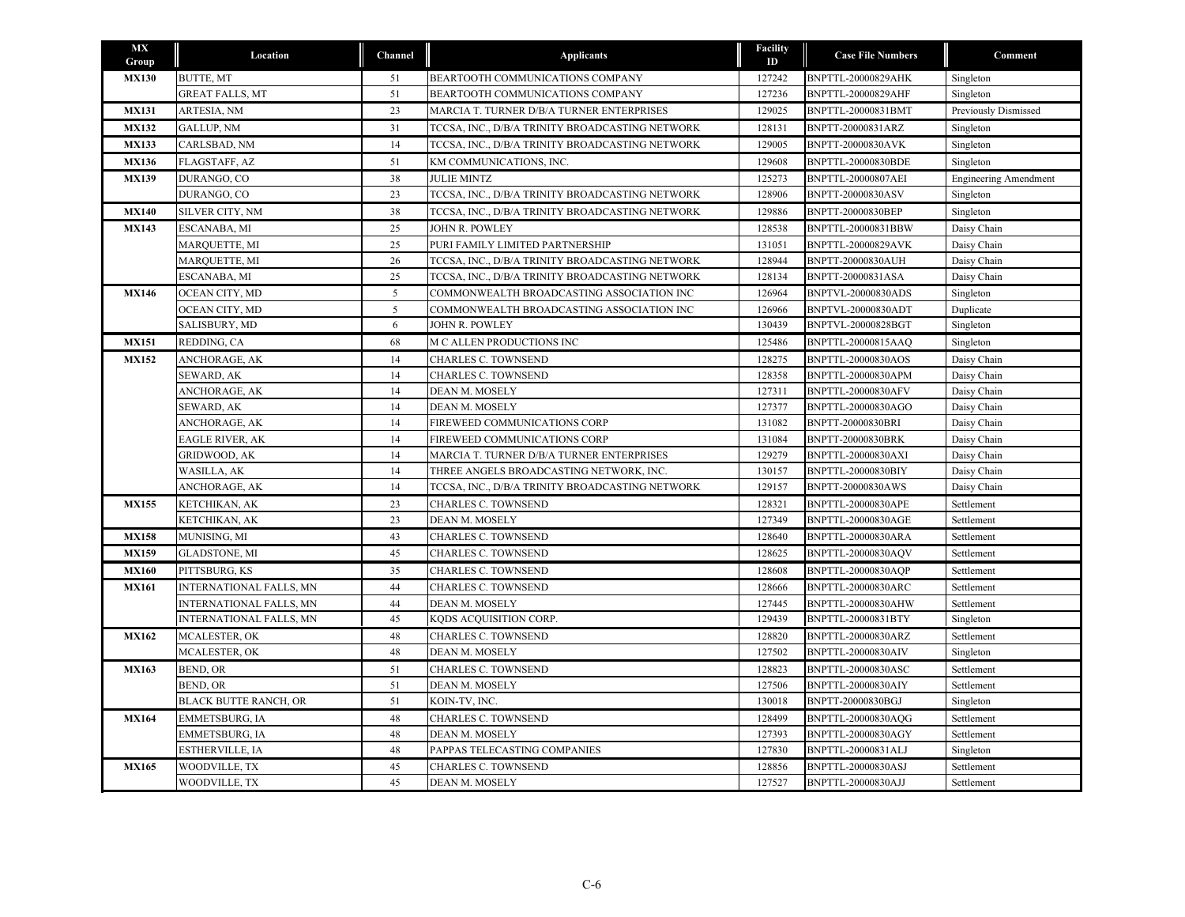| MX<br>Group  | Location                       | Channel    | <b>Applicants</b>                               | <b>Facility</b><br>ID | <b>Case File Numbers</b>  | Comment                      |
|--------------|--------------------------------|------------|-------------------------------------------------|-----------------------|---------------------------|------------------------------|
| <b>MX130</b> | <b>BUTTE, MT</b>               | 51         | BEARTOOTH COMMUNICATIONS COMPANY                | 127242                | <b>BNPTTL-20000829AHK</b> | Singleton                    |
|              | <b>GREAT FALLS, MT</b>         | 51         | BEARTOOTH COMMUNICATIONS COMPANY                | 127236                | <b>BNPTTL-20000829AHF</b> | Singleton                    |
| <b>MX131</b> | ARTESIA, NM                    | 23         | MARCIA T. TURNER D/B/A TURNER ENTERPRISES       | 129025                | BNPTTL-20000831BMT        | <b>Previously Dismissed</b>  |
| <b>MX132</b> | <b>GALLUP, NM</b>              | 31         | TCCSA, INC., D/B/A TRINITY BROADCASTING NETWORK | 128131                | BNPTT-20000831ARZ         | Singleton                    |
| <b>MX133</b> | CARLSBAD, NM                   | 14         | TCCSA, INC., D/B/A TRINITY BROADCASTING NETWORK | 129005                | <b>BNPTT-20000830AVK</b>  | Singleton                    |
| <b>MX136</b> | <b>FLAGSTAFF, AZ</b>           | 51         | KM COMMUNICATIONS, INC.                         | 129608                | BNPTTL-20000830BDE        | Singleton                    |
| <b>MX139</b> | DURANGO, CO                    | 38         | <b>JULIE MINTZ</b>                              | 125273                | <b>BNPTTL-20000807AEI</b> | <b>Engineering Amendment</b> |
|              | DURANGO, CO                    | 23         | TCCSA, INC., D/B/A TRINITY BROADCASTING NETWORK | 128906                | BNPTT-20000830ASV         | Singleton                    |
| <b>MX140</b> | SILVER CITY, NM                | 38         | TCCSA, INC., D/B/A TRINITY BROADCASTING NETWORK | 129886                | BNPTT-20000830BEP         | Singleton                    |
| <b>MX143</b> | ESCANABA, MI                   | 25         | JOHN R. POWLEY                                  | 128538                | BNPTTL-20000831BBW        | Daisy Chain                  |
|              | MARQUETTE, MI                  | 25         | PURI FAMILY LIMITED PARTNERSHIP                 | 131051                | BNPTTL-20000829AVK        | Daisy Chain                  |
|              | MARQUETTE, MI                  | 26         | TCCSA, INC., D/B/A TRINITY BROADCASTING NETWORK | 128944                | <b>BNPTT-20000830AUH</b>  | Daisy Chain                  |
|              | ESCANABA, MI                   | 25         | TCCSA, INC., D/B/A TRINITY BROADCASTING NETWORK | 128134                | BNPTT-20000831ASA         | Daisy Chain                  |
| <b>MX146</b> | OCEAN CITY, MD                 | $\sqrt{5}$ | COMMONWEALTH BROADCASTING ASSOCIATION INC       | 126964                | <b>BNPTVL-20000830ADS</b> | Singleton                    |
|              | OCEAN CITY, MD                 | 5          | COMMONWEALTH BROADCASTING ASSOCIATION INC       | 126966                | BNPTVL-20000830ADT        | Duplicate                    |
|              | SALISBURY, MD                  | 6          | JOHN R. POWLEY                                  | 130439                | BNPTVL-20000828BGT        | Singleton                    |
| <b>MX151</b> | REDDING, CA                    | 68         | M C ALLEN PRODUCTIONS INC                       | 125486                | BNPTTL-20000815AAQ        | Singleton                    |
| <b>MX152</b> | ANCHORAGE, AK                  | 14         | CHARLES C. TOWNSEND                             | 128275                | BNPTTL-20000830AOS        | Daisy Chain                  |
|              | SEWARD, AK                     | 14         | CHARLES C. TOWNSEND                             | 128358                | BNPTTL-20000830APM        | Daisy Chain                  |
|              | ANCHORAGE, AK                  | 14         | DEAN M. MOSELY                                  | 127311                | <b>BNPTTL-20000830AFV</b> | Daisy Chain                  |
|              | SEWARD, AK                     | 14         | DEAN M. MOSELY                                  | 127377                | BNPTTL-20000830AGO        | Daisy Chain                  |
|              | ANCHORAGE, AK                  | 14         | FIREWEED COMMUNICATIONS CORP                    | 131082                | <b>BNPTT-20000830BRI</b>  | Daisy Chain                  |
|              | EAGLE RIVER, AK                | 14         | FIREWEED COMMUNICATIONS CORP                    | 131084                | <b>BNPTT-20000830BRK</b>  | Daisy Chain                  |
|              | <b>GRIDWOOD, AK</b>            | 14         | MARCIA T. TURNER D/B/A TURNER ENTERPRISES       | 129279                | BNPTTL-20000830AXI        | Daisy Chain                  |
|              | WASILLA, AK                    | 14         | THREE ANGELS BROADCASTING NETWORK, INC.         | 130157                | BNPTTL-20000830BIY        | Daisy Chain                  |
|              | ANCHORAGE, AK                  | 14         | TCCSA, INC., D/B/A TRINITY BROADCASTING NETWORK | 129157                | BNPTT-20000830AWS         | Daisy Chain                  |
| <b>MX155</b> | KETCHIKAN, AK                  | 23         | CHARLES C. TOWNSEND                             | 128321                | <b>BNPTTL-20000830APE</b> | Settlement                   |
|              | KETCHIKAN, AK                  | 23         | DEAN M. MOSELY                                  | 127349                | <b>BNPTTL-20000830AGE</b> | Settlement                   |
| <b>MX158</b> | MUNISING, MI                   | 43         | CHARLES C. TOWNSEND                             | 128640                | BNPTTL-20000830ARA        | Settlement                   |
| <b>MX159</b> | <b>GLADSTONE, MI</b>           | 45         | CHARLES C. TOWNSEND                             | 128625                | BNPTTL-20000830AQV        | Settlement                   |
| <b>MX160</b> | PITTSBURG, KS                  | 35         | <b>CHARLES C. TOWNSEND</b>                      | 128608                | <b>BNPTTL-20000830AOP</b> | Settlement                   |
| <b>MX161</b> | <b>INTERNATIONAL FALLS, MN</b> | 44         | <b>CHARLES C. TOWNSEND</b>                      | 128666                | BNPTTL-20000830ARC        | Settlement                   |
|              | INTERNATIONAL FALLS, MN        | 44         | DEAN M. MOSELY                                  | 127445                | BNPTTL-20000830AHW        | Settlement                   |
|              | INTERNATIONAL FALLS, MN        | 45         | KQDS ACQUISITION CORP.                          | 129439                | BNPTTL-20000831BTY        | Singleton                    |
| <b>MX162</b> | <b>MCALESTER, OK</b>           | 48         | <b>CHARLES C. TOWNSEND</b>                      | 128820                | BNPTTL-20000830ARZ        | Settlement                   |
|              | MCALESTER, OK                  | 48         | DEAN M. MOSELY                                  | 127502                | <b>BNPTTL-20000830AIV</b> | Singleton                    |
| <b>MX163</b> | BEND, OR                       | 51         | <b>CHARLES C. TOWNSEND</b>                      | 128823                | <b>BNPTTL-20000830ASC</b> | Settlement                   |
|              | BEND, OR                       | 51         | DEAN M. MOSELY                                  | 127506                | BNPTTL-20000830AIY        | Settlement                   |
|              | <b>BLACK BUTTE RANCH, OR</b>   | 51         | KOIN-TV, INC.                                   | 130018                | BNPTT-20000830BGJ         | Singleton                    |
| <b>MX164</b> | EMMETSBURG, IA                 | 48         | CHARLES C. TOWNSEND                             | 128499                | BNPTTL-20000830AQG        | Settlement                   |
|              | EMMETSBURG, IA                 | 48         | DEAN M. MOSELY                                  | 127393                | BNPTTL-20000830AGY        | Settlement                   |
|              | ESTHERVILLE, IA                | 48         | PAPPAS TELECASTING COMPANIES                    | 127830                | BNPTTL-20000831ALJ        | Singleton                    |
| <b>MX165</b> | WOODVILLE, TX                  | 45         | <b>CHARLES C. TOWNSEND</b>                      | 128856                | <b>BNPTTL-20000830ASJ</b> | Settlement                   |
|              | WOODVILLE, TX                  | 45         | DEAN M. MOSELY                                  | 127527                | <b>BNPTTL-20000830AJJ</b> | Settlement                   |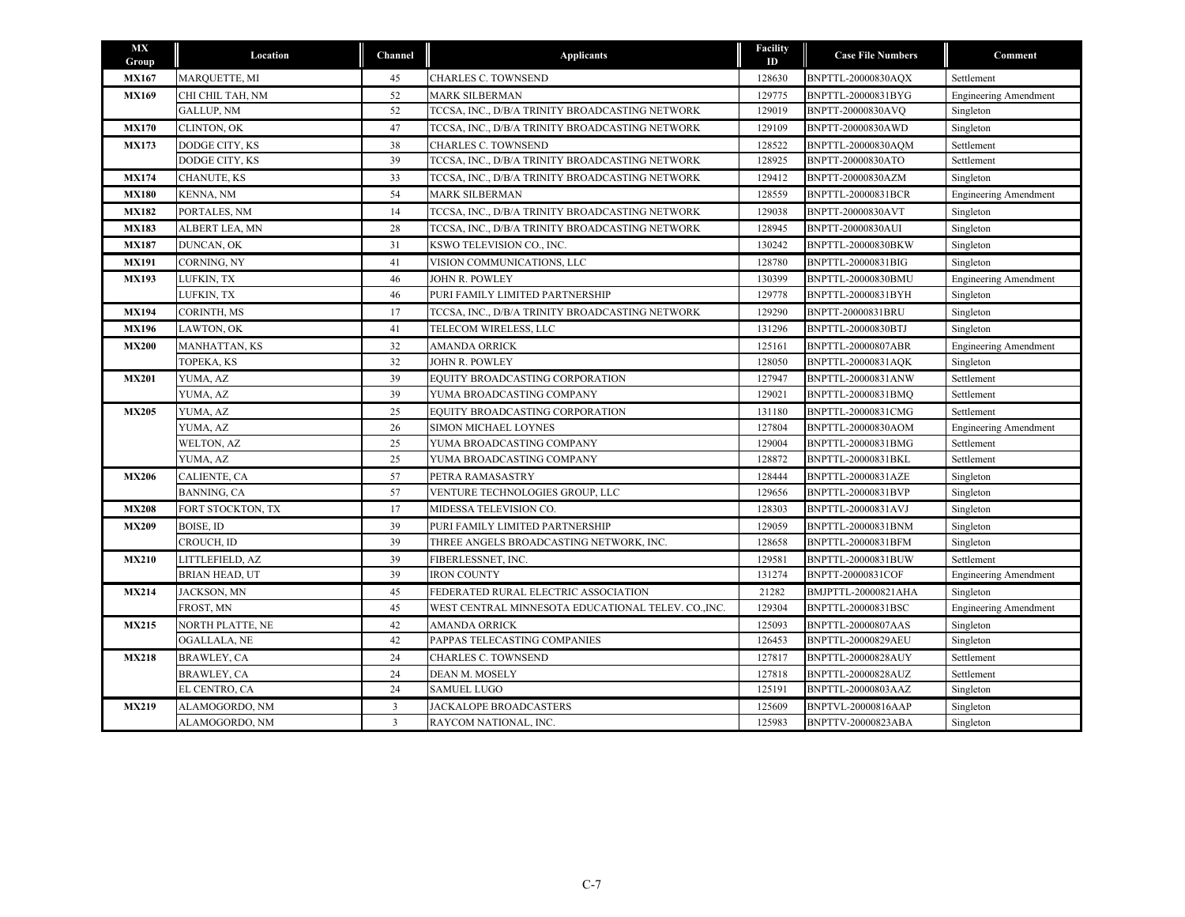| <b>MX</b><br>Group | Location             | Channel        | <b>Applicants</b>                                  | Facility<br>ID | <b>Case File Numbers</b>  | Comment                      |
|--------------------|----------------------|----------------|----------------------------------------------------|----------------|---------------------------|------------------------------|
| <b>MX167</b>       | MARQUETTE, MI        | 45             | CHARLES C. TOWNSEND                                | 128630         | BNPTTL-20000830AQX        | Settlement                   |
| <b>MX169</b>       | CHI CHIL TAH, NM     | 52             | MARK SILBERMAN                                     | 129775         | BNPTTL-20000831BYG        | <b>Engineering Amendment</b> |
|                    | <b>GALLUP, NM</b>    | 52             | TCCSA, INC., D/B/A TRINITY BROADCASTING NETWORK    | 129019         | BNPTT-20000830AVQ         | Singleton                    |
| <b>MX170</b>       | CLINTON, OK          | 47             | TCCSA, INC., D/B/A TRINITY BROADCASTING NETWORK    | 129109         | BNPTT-20000830AWD         | Singleton                    |
| <b>MX173</b>       | DODGE CITY, KS       | 38             | CHARLES C. TOWNSEND                                | 128522         | BNPTTL-20000830AQM        | Settlement                   |
|                    | DODGE CITY, KS       | 39             | TCCSA, INC., D/B/A TRINITY BROADCASTING NETWORK    | 128925         | BNPTT-20000830ATO         | Settlement                   |
| <b>MX174</b>       | CHANUTE, KS          | 33             | TCCSA, INC., D/B/A TRINITY BROADCASTING NETWORK    | 129412         | BNPTT-20000830AZM         | Singleton                    |
| <b>MX180</b>       | KENNA, NM            | 54             | <b>MARK SILBERMAN</b>                              | 128559         | <b>BNPTTL-20000831BCR</b> | <b>Engineering Amendment</b> |
| <b>MX182</b>       | PORTALES, NM         | 14             | TCCSA, INC., D/B/A TRINITY BROADCASTING NETWORK    | 129038         | BNPTT-20000830AVT         | Singleton                    |
| <b>MX183</b>       | ALBERT LEA, MN       | 28             | TCCSA, INC., D/B/A TRINITY BROADCASTING NETWORK    | 128945         | BNPTT-20000830AUI         | Singleton                    |
| <b>MX187</b>       | DUNCAN, OK           | 31             | KSWO TELEVISION CO., INC.                          | 130242         | BNPTTL-20000830BKW        | Singleton                    |
| <b>MX191</b>       | CORNING, NY          | 41             | VISION COMMUNICATIONS, LLC                         | 128780         | BNPTTL-20000831BIG        | Singleton                    |
| <b>MX193</b>       | LUFKIN, TX           | 46             | <b>JOHN R. POWLEY</b>                              | 130399         | BNPTTL-20000830BMU        | <b>Engineering Amendment</b> |
|                    | LUFKIN, TX           | 46             | PURI FAMILY LIMITED PARTNERSHIP                    | 129778         | BNPTTL-20000831BYH        | Singleton                    |
| <b>MX194</b>       | CORINTH, MS          | 17             | TCCSA, INC., D/B/A TRINITY BROADCASTING NETWORK    | 129290         | BNPTT-20000831BRU         | Singleton                    |
| <b>MX196</b>       | LAWTON, OK           | 41             | TELECOM WIRELESS, LLC                              | 131296         | BNPTTL-20000830BTJ        | Singleton                    |
| <b>MX200</b>       | <b>MANHATTAN, KS</b> | 32             | <b>AMANDA ORRICK</b>                               | 125161         | BNPTTL-20000807ABR        | <b>Engineering Amendment</b> |
|                    | TOPEKA, KS           | 32             | JOHN R. POWLEY                                     | 128050         | BNPTTL-20000831AQK        | Singleton                    |
| <b>MX201</b>       | YUMA, AZ             | 39             | EQUITY BROADCASTING CORPORATION                    | 127947         | BNPTTL-20000831ANW        | Settlement                   |
|                    | YUMA, AZ             | 39             | YUMA BROADCASTING COMPANY                          | 129021         | BNPTTL-20000831BMO        | Settlement                   |
| <b>MX205</b>       | YUMA, AZ             | 25             | EQUITY BROADCASTING CORPORATION                    | 131180         | BNPTTL-20000831CMG        | Settlement                   |
|                    | YUMA, AZ             | 26             | SIMON MICHAEL LOYNES                               | 127804         | BNPTTL-20000830AOM        | <b>Engineering Amendment</b> |
|                    | WELTON, AZ           | 25             | YUMA BROADCASTING COMPANY                          | 129004         | BNPTTL-20000831BMG        | Settlement                   |
|                    | YUMA, AZ             | 25             | YUMA BROADCASTING COMPANY                          | 128872         | BNPTTL-20000831BKL        | Settlement                   |
| <b>MX206</b>       | CALIENTE, CA         | 57             | PETRA RAMASASTRY                                   | 128444         | BNPTTL-20000831AZE        | Singleton                    |
|                    | BANNING, CA          | 57             | VENTURE TECHNOLOGIES GROUP, LLC                    | 129656         | BNPTTL-20000831BVP        | Singleton                    |
| <b>MX208</b>       | FORT STOCKTON, TX    | 17             | MIDESSA TELEVISION CO.                             | 128303         | BNPTTL-20000831AVJ        | Singleton                    |
| <b>MX209</b>       | BOISE, ID            | 39             | PURI FAMILY LIMITED PARTNERSHIP                    | 129059         | BNPTTL-20000831BNM        | Singleton                    |
|                    | CROUCH, ID           | 39             | THREE ANGELS BROADCASTING NETWORK, INC.            | 128658         | BNPTTL-20000831BFM        | Singleton                    |
| <b>MX210</b>       | LITTLEFIELD, AZ      | 39             | FIBERLESSNET, INC.                                 | 129581         | BNPTTL-20000831BUW        | Settlement                   |
|                    | BRIAN HEAD, UT       | 39             | <b>IRON COUNTY</b>                                 | 131274         | BNPTT-20000831COF         | <b>Engineering Amendment</b> |
| <b>MX214</b>       | JACKSON, MN          | 45             | FEDERATED RURAL ELECTRIC ASSOCIATION               | 21282          | BMJPTTL-20000821AHA       | Singleton                    |
|                    | FROST, MN            | 45             | WEST CENTRAL MINNESOTA EDUCATIONAL TELEV. CO.,INC. | 129304         | BNPTTL-20000831BSC        | <b>Engineering Amendment</b> |
| <b>MX215</b>       | NORTH PLATTE, NE     | 42             | <b>AMANDA ORRICK</b>                               | 125093         | <b>BNPTTL-20000807AAS</b> | Singleton                    |
|                    | OGALLALA, NE         | 42             | PAPPAS TELECASTING COMPANIES                       | 126453         | BNPTTL-20000829AEU        | Singleton                    |
| <b>MX218</b>       | BRAWLEY, CA          | 24             | CHARLES C. TOWNSEND                                | 127817         | BNPTTL-20000828AUY        | Settlement                   |
|                    | BRAWLEY, CA          | 24             | DEAN M. MOSELY                                     | 127818         | BNPTTL-20000828AUZ        | Settlement                   |
|                    | EL CENTRO, CA        | 24             | <b>SAMUEL LUGO</b>                                 | 125191         | BNPTTL-20000803AAZ        | Singleton                    |
| <b>MX219</b>       | ALAMOGORDO, NM       | 3              | <b>JACKALOPE BROADCASTERS</b>                      | 125609         | BNPTVL-20000816AAP        | Singleton                    |
|                    | ALAMOGORDO, NM       | $\overline{3}$ | RAYCOM NATIONAL, INC.                              | 125983         | BNPTTV-20000823ABA        | Singleton                    |